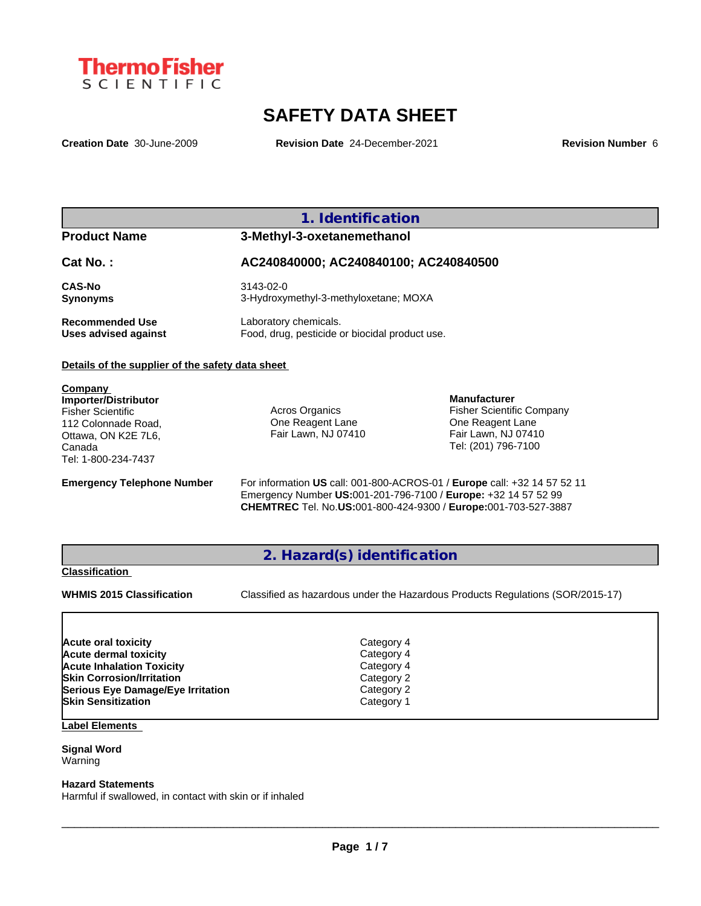

# **SAFETY DATA SHEET**

**Creation Date** 30-June-2009 **Revision Date** 24-December-2021 **Revision Number** 6

### **1. Identification**

### **Product Name 3-Methyl-3-oxetanemethanol**

### **Cat No. : AC240840000; AC240840100; AC240840500**

**CAS-No** 3143-02-0

**Synonyms** 3-Hydroxymethyl-3-methyloxetane; MOXA **Recommended Use** Laboratory chemicals.<br> **Uses advised against** Food, drug, pesticide of Food, drug, pesticide or biocidal product use.

#### **Details of the supplier of the safety data sheet**

**Company Importer/Distributor** Fisher Scientific 112 Colonnade Road, Ottawa, ON K2E 7L6, Canada Tel: 1-800-234-7437

Acros Organics One Reagent Lane Fair Lawn, NJ 07410

**Manufacturer** Fisher Scientific Company One Reagent Lane Fair Lawn, NJ 07410 Tel: (201) 796-7100

**Emergency Telephone Number** For information **US** call: 001-800-ACROS-01 / **Europe** call: +32 14 57 52 11 Emergency Number **US:**001-201-796-7100 / **Europe:** +32 14 57 52 99 **CHEMTREC** Tel. No.**US:**001-800-424-9300 / **Europe:**001-703-527-3887

### **2. Hazard(s) identification**

#### **Classification**

**WHMIS 2015 Classification** Classified as hazardous under the Hazardous Products Regulations (SOR/2015-17)

 $\_$  ,  $\_$  ,  $\_$  ,  $\_$  ,  $\_$  ,  $\_$  ,  $\_$  ,  $\_$  ,  $\_$  ,  $\_$  ,  $\_$  ,  $\_$  ,  $\_$  ,  $\_$  ,  $\_$  ,  $\_$  ,  $\_$  ,  $\_$  ,  $\_$  ,  $\_$  ,  $\_$  ,  $\_$  ,  $\_$  ,  $\_$  ,  $\_$  ,  $\_$  ,  $\_$  ,  $\_$  ,  $\_$  ,  $\_$  ,  $\_$  ,  $\_$  ,  $\_$  ,  $\_$  ,  $\_$  ,  $\_$  ,  $\_$  ,

| Acute oral toxicity               | Category 4 |  |
|-----------------------------------|------------|--|
| <b>Acute dermal toxicity</b>      | Category 4 |  |
| <b>Acute Inhalation Toxicity</b>  | Category 4 |  |
| <b>Skin Corrosion/Irritation</b>  | Category 2 |  |
| Serious Eye Damage/Eye Irritation | Category 2 |  |
| <b>Skin Sensitization</b>         | Category 1 |  |
|                                   |            |  |

#### **Label Elements**

#### **Signal Word** Warning

#### **Hazard Statements**

Harmful if swallowed, in contact with skin or if inhaled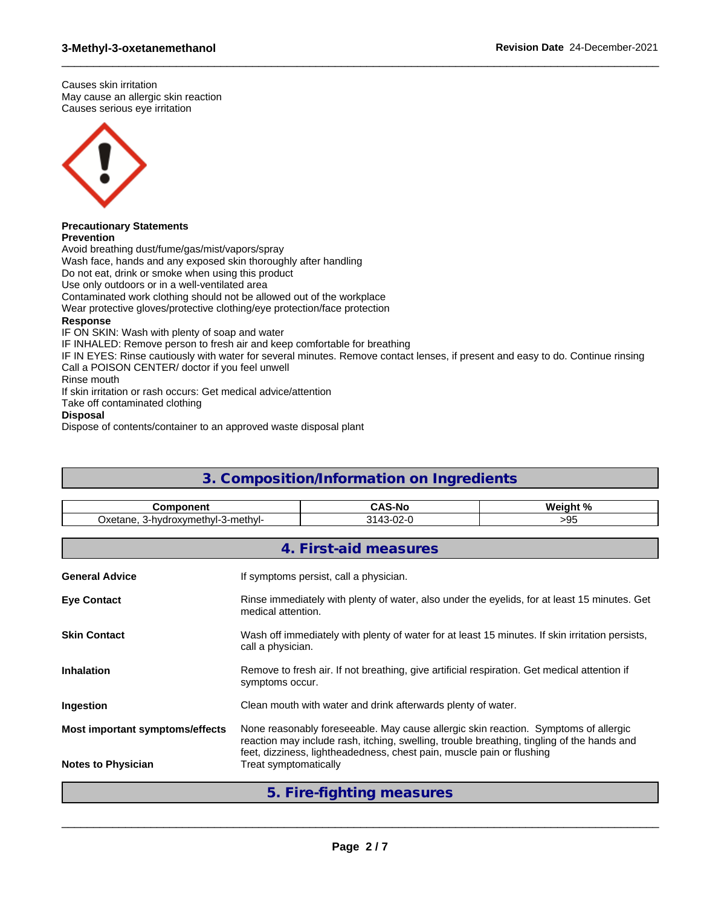Causes skin irritation May cause an allergic skin reaction Causes serious eye irritation



#### **Precautionary Statements Prevention**

Avoid breathing dust/fume/gas/mist/vapors/spray Wash face, hands and any exposed skin thoroughly after handling Do not eat, drink or smoke when using this product Use only outdoors or in a well-ventilated area Contaminated work clothing should not be allowed out of the workplace Wear protective gloves/protective clothing/eye protection/face protection **Response** IF ON SKIN: Wash with plenty of soap and water IF INHALED: Remove person to fresh air and keep comfortable for breathing IF IN EYES: Rinse cautiously with water for several minutes. Remove contact lenses, if present and easy to do. Continue rinsing Call a POISON CENTER/ doctor if you feel unwell Rinse mouth If skin irritation or rash occurs: Get medical advice/attention

Take off contaminated clothing

**Disposal**

Dispose of contents/container to an approved waste disposal plant

## **3. Composition/Information on Ingredients**

 $\_$  ,  $\_$  ,  $\_$  ,  $\_$  ,  $\_$  ,  $\_$  ,  $\_$  ,  $\_$  ,  $\_$  ,  $\_$  ,  $\_$  ,  $\_$  ,  $\_$  ,  $\_$  ,  $\_$  ,  $\_$  ,  $\_$  ,  $\_$  ,  $\_$  ,  $\_$  ,  $\_$  ,  $\_$  ,  $\_$  ,  $\_$  ,  $\_$  ,  $\_$  ,  $\_$  ,  $\_$  ,  $\_$  ,  $\_$  ,  $\_$  ,  $\_$  ,  $\_$  ,  $\_$  ,  $\_$  ,  $\_$  ,  $\_$  ,

| <b>Component</b>                   |                                                                                                                                                                                                                                                            | <b>CAS-No</b>                                                                                                        | Weight % |  |
|------------------------------------|------------------------------------------------------------------------------------------------------------------------------------------------------------------------------------------------------------------------------------------------------------|----------------------------------------------------------------------------------------------------------------------|----------|--|
| Oxetane, 3-hydroxymethyl-3-methyl- |                                                                                                                                                                                                                                                            | 3143-02-0                                                                                                            | >95      |  |
|                                    |                                                                                                                                                                                                                                                            | 4. First-aid measures                                                                                                |          |  |
| <b>General Advice</b>              |                                                                                                                                                                                                                                                            | If symptoms persist, call a physician.                                                                               |          |  |
| <b>Eye Contact</b>                 |                                                                                                                                                                                                                                                            | Rinse immediately with plenty of water, also under the eyelids, for at least 15 minutes. Get<br>medical attention.   |          |  |
| <b>Skin Contact</b>                |                                                                                                                                                                                                                                                            | Wash off immediately with plenty of water for at least 15 minutes. If skin irritation persists,<br>call a physician. |          |  |
| <b>Inhalation</b>                  |                                                                                                                                                                                                                                                            | Remove to fresh air. If not breathing, give artificial respiration. Get medical attention if<br>symptoms occur.      |          |  |
| Ingestion                          |                                                                                                                                                                                                                                                            | Clean mouth with water and drink afterwards plenty of water.                                                         |          |  |
| Most important symptoms/effects    | None reasonably foreseeable. May cause allergic skin reaction. Symptoms of allergic<br>reaction may include rash, itching, swelling, trouble breathing, tingling of the hands and<br>feet, dizziness, lightheadedness, chest pain, muscle pain or flushing |                                                                                                                      |          |  |
| <b>Notes to Physician</b>          | Treat symptomatically                                                                                                                                                                                                                                      |                                                                                                                      |          |  |
|                                    |                                                                                                                                                                                                                                                            | 5. Fire-fighting measures                                                                                            |          |  |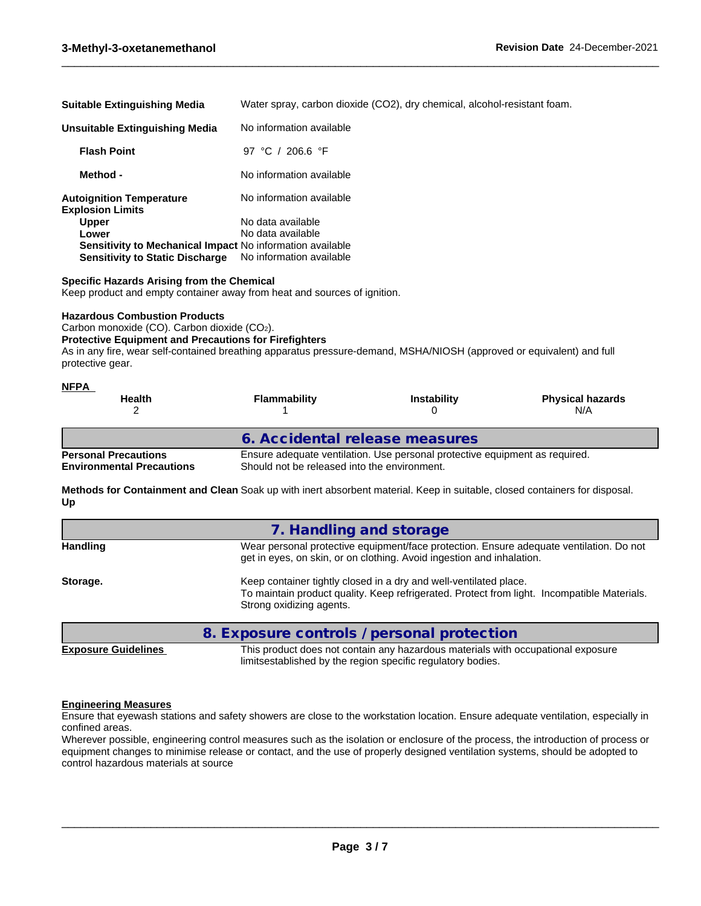| <b>Suitable Extinguishing Media</b>                              | Water spray, carbon dioxide (CO2), dry chemical, alcohol-resistant foam. |
|------------------------------------------------------------------|--------------------------------------------------------------------------|
| <b>Unsuitable Extinguishing Media</b>                            | No information available                                                 |
| <b>Flash Point</b>                                               | 97 °C / 206.6 °F                                                         |
| Method -                                                         | No information available                                                 |
| <b>Autoignition Temperature</b><br><b>Explosion Limits</b>       | No information available                                                 |
| <b>Upper</b>                                                     | No data available                                                        |
| Lower                                                            | No data available                                                        |
| <b>Sensitivity to Mechanical Impact No information available</b> |                                                                          |
| <b>Sensitivity to Static Discharge</b>                           | No information available                                                 |

 $\_$  ,  $\_$  ,  $\_$  ,  $\_$  ,  $\_$  ,  $\_$  ,  $\_$  ,  $\_$  ,  $\_$  ,  $\_$  ,  $\_$  ,  $\_$  ,  $\_$  ,  $\_$  ,  $\_$  ,  $\_$  ,  $\_$  ,  $\_$  ,  $\_$  ,  $\_$  ,  $\_$  ,  $\_$  ,  $\_$  ,  $\_$  ,  $\_$  ,  $\_$  ,  $\_$  ,  $\_$  ,  $\_$  ,  $\_$  ,  $\_$  ,  $\_$  ,  $\_$  ,  $\_$  ,  $\_$  ,  $\_$  ,  $\_$  ,

#### **Specific Hazards Arising from the Chemical**

Keep product and empty container away from heat and sources of ignition.

#### **Hazardous Combustion Products**

Carbon monoxide (CO). Carbon dioxide (CO2).

#### **Protective Equipment and Precautions for Firefighters**

As in any fire, wear self-contained breathing apparatus pressure-demand, MSHA/NIOSH (approved or equivalent) and full protective gear.

| <b>NFPA</b><br><b>Health</b>                                    | <b>Flammability</b>                          | <b>Instability</b>                                                          | <b>Physical hazards</b><br>N/A |
|-----------------------------------------------------------------|----------------------------------------------|-----------------------------------------------------------------------------|--------------------------------|
|                                                                 | 6. Accidental release measures               |                                                                             |                                |
| <b>Personal Precautions</b><br><b>Environmental Precautions</b> | Should not be released into the environment. | Ensure adequate ventilation. Use personal protective equipment as required. |                                |

**Methods for Containment and Clean** Soak up with inert absorbent material. Keep in suitable, closed containers for disposal. **Up**

| <b>Handling</b> | Wear personal protective equipment/face protection. Ensure adequate ventilation. Do not<br>get in eyes, on skin, or on clothing. Avoid ingestion and inhalation.                             |  |  |
|-----------------|----------------------------------------------------------------------------------------------------------------------------------------------------------------------------------------------|--|--|
| Storage.        | Keep container tightly closed in a dry and well-ventilated place.<br>To maintain product quality. Keep refrigerated. Protect from light. Incompatible Materials.<br>Strong oxidizing agents. |  |  |

**8. Exposure controls / personal protection**

## **Exposure Guidelines** This product does not contain any hazardous materials with occupational exposure

 $\_$  ,  $\_$  ,  $\_$  ,  $\_$  ,  $\_$  ,  $\_$  ,  $\_$  ,  $\_$  ,  $\_$  ,  $\_$  ,  $\_$  ,  $\_$  ,  $\_$  ,  $\_$  ,  $\_$  ,  $\_$  ,  $\_$  ,  $\_$  ,  $\_$  ,  $\_$  ,  $\_$  ,  $\_$  ,  $\_$  ,  $\_$  ,  $\_$  ,  $\_$  ,  $\_$  ,  $\_$  ,  $\_$  ,  $\_$  ,  $\_$  ,  $\_$  ,  $\_$  ,  $\_$  ,  $\_$  ,  $\_$  ,  $\_$  ,

limitsestablished by the region specific regulatory bodies.

#### **Engineering Measures**

Ensure that eyewash stations and safety showers are close to the workstation location. Ensure adequate ventilation, especially in confined areas.

Wherever possible, engineering control measures such as the isolation or enclosure of the process, the introduction of process or equipment changes to minimise release or contact, and the use of properly designed ventilation systems, should be adopted to control hazardous materials at source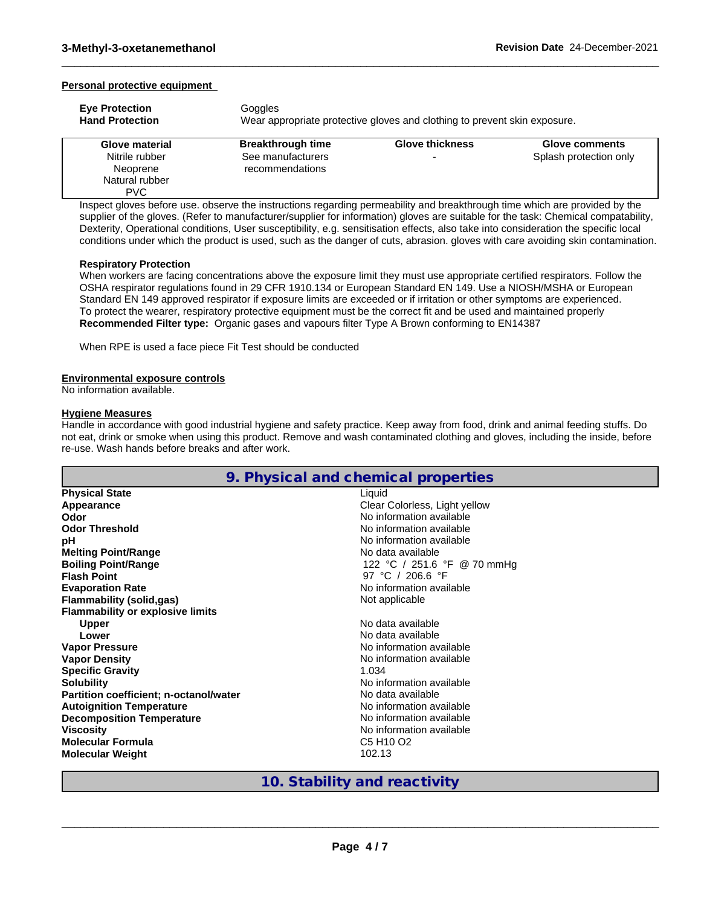#### **Personal protective equipment**

| <b>Eve Protection</b><br><b>Hand Protection</b> | Goggles<br>Wear appropriate protective gloves and clothing to prevent skin exposure. |                        |                        |  |  |  |
|-------------------------------------------------|--------------------------------------------------------------------------------------|------------------------|------------------------|--|--|--|
| Glove material                                  | <b>Breakthrough time</b>                                                             | <b>Glove thickness</b> | <b>Glove comments</b>  |  |  |  |
| Nitrile rubber                                  | See manufacturers                                                                    |                        | Splash protection only |  |  |  |
| Neoprene                                        | recommendations                                                                      |                        |                        |  |  |  |
| Natural rubber                                  |                                                                                      |                        |                        |  |  |  |

 $\_$  ,  $\_$  ,  $\_$  ,  $\_$  ,  $\_$  ,  $\_$  ,  $\_$  ,  $\_$  ,  $\_$  ,  $\_$  ,  $\_$  ,  $\_$  ,  $\_$  ,  $\_$  ,  $\_$  ,  $\_$  ,  $\_$  ,  $\_$  ,  $\_$  ,  $\_$  ,  $\_$  ,  $\_$  ,  $\_$  ,  $\_$  ,  $\_$  ,  $\_$  ,  $\_$  ,  $\_$  ,  $\_$  ,  $\_$  ,  $\_$  ,  $\_$  ,  $\_$  ,  $\_$  ,  $\_$  ,  $\_$  ,  $\_$  ,

Inspect gloves before use. observe the instructions regarding permeability and breakthrough time which are provided by the supplier of the gloves. (Refer to manufacturer/supplier for information) gloves are suitable for the task: Chemical compatability, Dexterity, Operational conditions, User susceptibility, e.g. sensitisation effects, also take into consideration the specific local conditions under which the product is used, such as the danger of cuts, abrasion. gloves with care avoiding skin contamination.

#### **Respiratory Protection**

PVC

When workers are facing concentrations above the exposure limit they must use appropriate certified respirators. Follow the OSHA respirator regulations found in 29 CFR 1910.134 or European Standard EN 149. Use a NIOSH/MSHA or European Standard EN 149 approved respirator if exposure limits are exceeded or if irritation or other symptoms are experienced. To protect the wearer, respiratory protective equipment must be the correct fit and be used and maintained properly **Recommended Filter type:** Organic gases and vapours filter Type A Brown conforming to EN14387

When RPE is used a face piece Fit Test should be conducted

#### **Environmental exposure controls**

No information available.

#### **Hygiene Measures**

Handle in accordance with good industrial hygiene and safety practice. Keep away from food, drink and animal feeding stuffs. Do not eat, drink or smoke when using this product. Remove and wash contaminated clothing and gloves, including the inside, before re-use. Wash hands before breaks and after work.

|                                         | 9. Physical and chemical properties |
|-----------------------------------------|-------------------------------------|
| <b>Physical State</b>                   | Liquid                              |
| Appearance                              | Clear Colorless, Light yellow       |
| Odor                                    | No information available            |
| <b>Odor Threshold</b>                   | No information available            |
| pH                                      | No information available            |
| <b>Melting Point/Range</b>              | No data available                   |
| <b>Boiling Point/Range</b>              | 122 °C / 251.6 °F @ 70 mmHg         |
| <b>Flash Point</b>                      | 97 °C / 206.6 °F                    |
| <b>Evaporation Rate</b>                 | No information available            |
| <b>Flammability (solid,gas)</b>         | Not applicable                      |
| <b>Flammability or explosive limits</b> |                                     |
| <b>Upper</b>                            | No data available                   |
| Lower                                   | No data available                   |
| <b>Vapor Pressure</b>                   | No information available            |
| <b>Vapor Density</b>                    | No information available            |
| <b>Specific Gravity</b>                 | 1.034                               |
| <b>Solubility</b>                       | No information available            |
| Partition coefficient; n-octanol/water  | No data available                   |
| <b>Autoignition Temperature</b>         | No information available            |
| <b>Decomposition Temperature</b>        | No information available            |
| <b>Viscosity</b>                        | No information available            |
| Molecular Formula                       | C5 H <sub>10</sub> O <sub>2</sub>   |
| <b>Molecular Weight</b>                 | 102.13                              |

### **10. Stability and reactivity**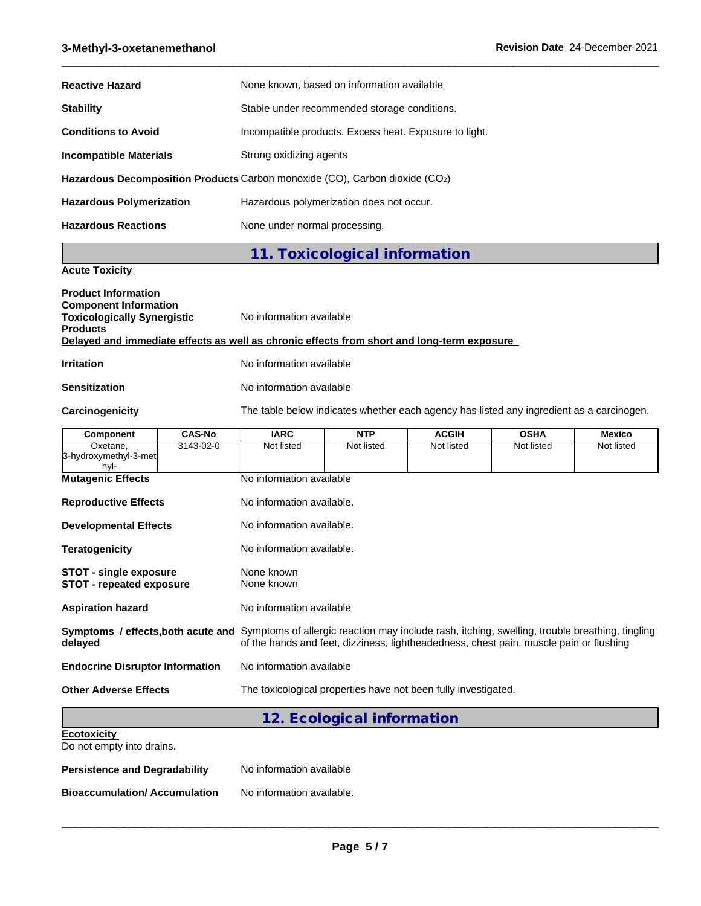### **3-Methyl-3-oxetanemethanol Revision Date** 24-December-2021

| <b>Reactive Hazard</b>          | None known, based on information available                                  |
|---------------------------------|-----------------------------------------------------------------------------|
| <b>Stability</b>                | Stable under recommended storage conditions.                                |
| <b>Conditions to Avoid</b>      | Incompatible products. Excess heat. Exposure to light.                      |
| Incompatible Materials          | Strong oxidizing agents                                                     |
|                                 | Hazardous Decomposition Products Carbon monoxide (CO), Carbon dioxide (CO2) |
| <b>Hazardous Polymerization</b> | Hazardous polymerization does not occur.                                    |
| <b>Hazardous Reactions</b>      | None under normal processing.                                               |

 $\_$  ,  $\_$  ,  $\_$  ,  $\_$  ,  $\_$  ,  $\_$  ,  $\_$  ,  $\_$  ,  $\_$  ,  $\_$  ,  $\_$  ,  $\_$  ,  $\_$  ,  $\_$  ,  $\_$  ,  $\_$  ,  $\_$  ,  $\_$  ,  $\_$  ,  $\_$  ,  $\_$  ,  $\_$  ,  $\_$  ,  $\_$  ,  $\_$  ,  $\_$  ,  $\_$  ,  $\_$  ,  $\_$  ,  $\_$  ,  $\_$  ,  $\_$  ,  $\_$  ,  $\_$  ,  $\_$  ,  $\_$  ,  $\_$  ,

**11. Toxicological information**

### **Acute Toxicity**

| <b>Product Information</b><br><b>Component Information</b><br><b>Toxicologically Synergistic</b><br><b>Products</b> | No information available                                                                   |
|---------------------------------------------------------------------------------------------------------------------|--------------------------------------------------------------------------------------------|
|                                                                                                                     | Delayed and immediate effects as well as chronic effects from short and long-term exposure |
| <b>Irritation</b>                                                                                                   | No information available                                                                   |
| <b>Sensitization</b>                                                                                                | No information available                                                                   |
| Carcinogenicity                                                                                                     | The table below indicates whether each agency has listed any ingredient as a carcinogen.   |

| Component                                                 | <b>CAS-No</b> | <b>IARC</b>                                                                                                                                                                                                                 | <b>NTP</b>                 | <b>ACGIH</b>                                                   | <b>OSHA</b> | <b>Mexico</b> |
|-----------------------------------------------------------|---------------|-----------------------------------------------------------------------------------------------------------------------------------------------------------------------------------------------------------------------------|----------------------------|----------------------------------------------------------------|-------------|---------------|
| Oxetane.<br>3-hydroxymethyl-3-met<br>hyl-                 | 3143-02-0     | Not listed                                                                                                                                                                                                                  | Not listed                 | Not listed                                                     | Not listed  | Not listed    |
| <b>Mutagenic Effects</b>                                  |               | No information available                                                                                                                                                                                                    |                            |                                                                |             |               |
| <b>Reproductive Effects</b>                               |               | No information available.                                                                                                                                                                                                   |                            |                                                                |             |               |
| <b>Developmental Effects</b>                              |               | No information available.                                                                                                                                                                                                   |                            |                                                                |             |               |
| <b>Teratogenicity</b>                                     |               | No information available.                                                                                                                                                                                                   |                            |                                                                |             |               |
| STOT - single exposure<br><b>STOT - repeated exposure</b> |               | None known<br>None known                                                                                                                                                                                                    |                            |                                                                |             |               |
| <b>Aspiration hazard</b>                                  |               | No information available                                                                                                                                                                                                    |                            |                                                                |             |               |
| delayed                                                   |               | Symptoms / effects, both acute and Symptoms of allergic reaction may include rash, itching, swelling, trouble breathing, tingling<br>of the hands and feet, dizziness, lightheadedness, chest pain, muscle pain or flushing |                            |                                                                |             |               |
| <b>Endocrine Disruptor Information</b>                    |               | No information available                                                                                                                                                                                                    |                            |                                                                |             |               |
| <b>Other Adverse Effects</b>                              |               |                                                                                                                                                                                                                             |                            | The toxicological properties have not been fully investigated. |             |               |
|                                                           |               |                                                                                                                                                                                                                             | 12. Ecological information |                                                                |             |               |

| <b>Ecotoxicity</b><br>Do not empty into drains. |                           |
|-------------------------------------------------|---------------------------|
| <b>Persistence and Degradability</b>            | No information available  |
| <b>Bioaccumulation/Accumulation</b>             | No information available. |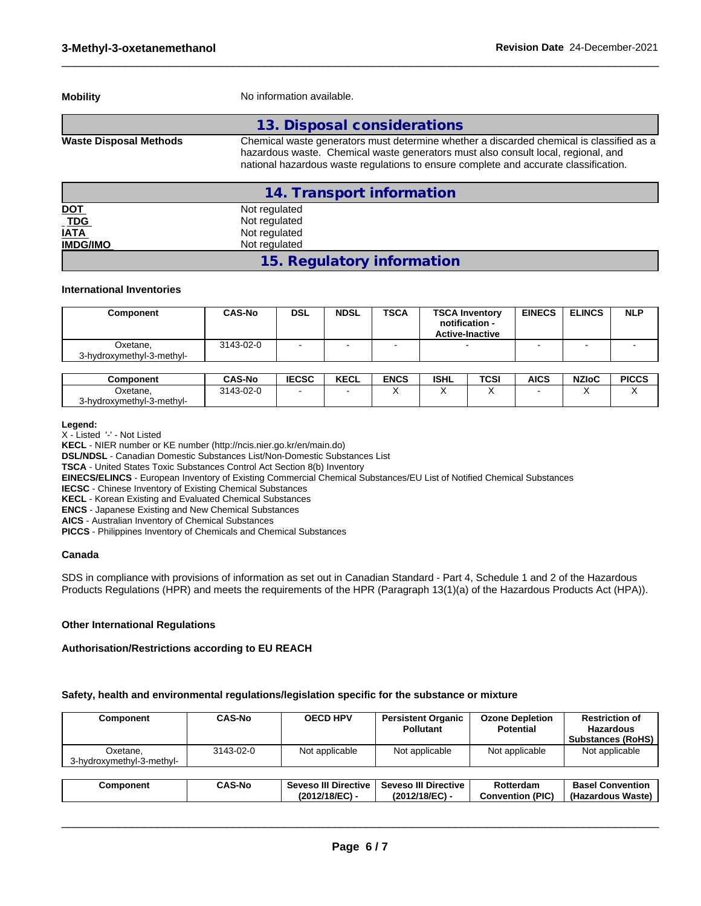| <b>Mobility</b><br>No information available. |                                                                                                                                                                                                                                                                       |  |  |
|----------------------------------------------|-----------------------------------------------------------------------------------------------------------------------------------------------------------------------------------------------------------------------------------------------------------------------|--|--|
|                                              | 13. Disposal considerations                                                                                                                                                                                                                                           |  |  |
| <b>Waste Disposal Methods</b>                | Chemical waste generators must determine whether a discarded chemical is classified as a<br>hazardous waste. Chemical waste generators must also consult local, regional, and<br>national hazardous waste regulations to ensure complete and accurate classification. |  |  |
|                                              | 14. Transport information                                                                                                                                                                                                                                             |  |  |
| <u>DOT</u>                                   | Not regulated                                                                                                                                                                                                                                                         |  |  |
| $\overline{\overline{\text{TDG}}}$           | Not regulated                                                                                                                                                                                                                                                         |  |  |
| <b>IATA</b>                                  | Not regulated                                                                                                                                                                                                                                                         |  |  |
| <b>IMDG/IMO</b>                              | Not regulated                                                                                                                                                                                                                                                         |  |  |

 $\_$  ,  $\_$  ,  $\_$  ,  $\_$  ,  $\_$  ,  $\_$  ,  $\_$  ,  $\_$  ,  $\_$  ,  $\_$  ,  $\_$  ,  $\_$  ,  $\_$  ,  $\_$  ,  $\_$  ,  $\_$  ,  $\_$  ,  $\_$  ,  $\_$  ,  $\_$  ,  $\_$  ,  $\_$  ,  $\_$  ,  $\_$  ,  $\_$  ,  $\_$  ,  $\_$  ,  $\_$  ,  $\_$  ,  $\_$  ,  $\_$  ,  $\_$  ,  $\_$  ,  $\_$  ,  $\_$  ,  $\_$  ,  $\_$  ,

### **International Inventories**

| Component                             | <b>CAS-No</b> | <b>DSL</b> | <b>NDSL</b> | <b>TSCA</b> | <b>TSCA Inventory</b><br>notification -<br><b>Active-Inactive</b> | <b>EINECS</b> | <b>ELINCS</b> | <b>NLP</b> |
|---------------------------------------|---------------|------------|-------------|-------------|-------------------------------------------------------------------|---------------|---------------|------------|
| Oxetane,<br>3-hydroxymethyl-3-methyl- | 3143-02-0     | -          |             |             |                                                                   |               |               |            |

**15. Regulatory information**

| <b>Component</b>                   | <b>CAS-No</b> | <b>IECSC</b> | <b>KECL</b> | <b>ENCS</b> | <b>ISHL</b> | <b>TCSI</b> | <b>AICS</b> | <b>NZIoC</b> | <b>PICCS</b> |
|------------------------------------|---------------|--------------|-------------|-------------|-------------|-------------|-------------|--------------|--------------|
| Oxetane.                           | 3143-02-0     |              |             |             |             |             |             |              |              |
| - 3-methyl د.,<br>3-hydroxymethyl- |               |              |             |             |             |             |             |              |              |

**Legend:**

X - Listed '-' - Not Listed

**KECL** - NIER number or KE number (http://ncis.nier.go.kr/en/main.do)

**DSL/NDSL** - Canadian Domestic Substances List/Non-Domestic Substances List

**TSCA** - United States Toxic Substances Control Act Section 8(b) Inventory

**EINECS/ELINCS** - European Inventory of Existing Commercial Chemical Substances/EU List of Notified Chemical Substances

**IECSC** - Chinese Inventory of Existing Chemical Substances

**KECL** - Korean Existing and Evaluated Chemical Substances

**ENCS** - Japanese Existing and New Chemical Substances

**AICS** - Australian Inventory of Chemical Substances

**PICCS** - Philippines Inventory of Chemicals and Chemical Substances

#### **Canada**

SDS in compliance with provisions of information as set out in Canadian Standard - Part 4, Schedule 1 and 2 of the Hazardous Products Regulations (HPR) and meets the requirements of the HPR (Paragraph 13(1)(a) of the Hazardous Products Act (HPA)).

#### **Other International Regulations**

#### **Authorisation/Restrictions according to EU REACH**

#### **Safety, health and environmental regulations/legislation specific for the substance or mixture**

| Component                             | <b>CAS-No</b> | <b>OECD HPV</b>                          | <b>Persistent Organic</b><br><b>Pollutant</b> | <b>Ozone Depletion</b><br><b>Potential</b> | <b>Restriction of</b><br><b>Hazardous</b><br><b>Substances (RoHS)</b> |
|---------------------------------------|---------------|------------------------------------------|-----------------------------------------------|--------------------------------------------|-----------------------------------------------------------------------|
| Oxetane,<br>3-hydroxymethyl-3-methyl- | 3143-02-0     | Not applicable                           | Not applicable                                | Not applicable                             | Not applicable                                                        |
|                                       |               |                                          |                                               |                                            |                                                                       |
| Component                             | <b>CAS-No</b> | Seveso III Directive  <br>(2012/18/EC) - | <b>Seveso III Directive</b><br>(2012/18/EC) - | Rotterdam<br><b>Convention (PIC)</b>       | <b>Basel Convention</b><br>(Hazardous Waste)                          |